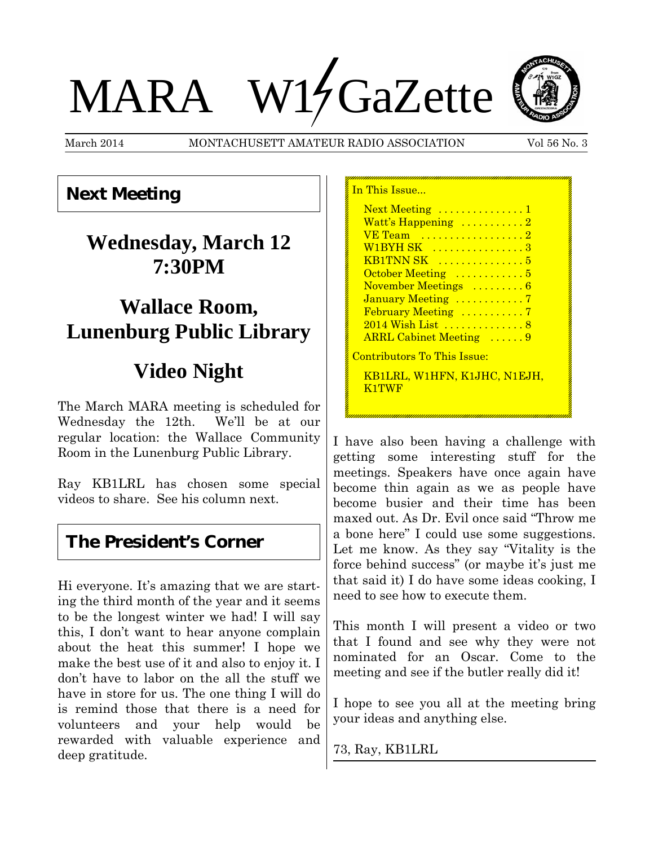# MARA W17GaZette



March 2014 MONTACHUSETT AMATEUR RADIO ASSOCIATION Vol 56 No. 3

n This Issue

## **Next Meeting**

# **Wednesday, March 12 7:30PM**

## **Wallace Room, Lunenburg Public Library**

# **Video Night**

The March MARA meeting is scheduled for Wednesday the 12th. We'll be at our regular location: the Wallace Community Room in the Lunenburg Public Library.

Ray KB1LRL has chosen some special videos to share. See his column next.

### **The President's Corner**

Hi everyone. It's amazing that we are starting the third month of the year and it seems to be the longest winter we had! I will say this, I don't want to hear anyone complain about the heat this summer! I hope we make the best use of it and also to enjoy it. I don't have to labor on the all the stuff we have in store for us. The one thing I will do is remind those that there is a need for volunteers and your help would be rewarded with valuable experience and deep gratitude.

| Next Meeting 1                               |
|----------------------------------------------|
| Watt's Happening 2                           |
| VE Team                                      |
| W1BYH SK  3                                  |
|                                              |
| October Meeting  5                           |
| November Meetings  6                         |
| January Meeting 7                            |
| February Meeting 7                           |
| <u>2014 Wish List 8</u>                      |
| <b>ARRL Cabinet Meeting</b> 9                |
| <u> Contributors To This Issue:</u>          |
| <u>KB1LRL, W1HFN, K1JHC, N1EJH,</u><br>K1TWF |
|                                              |

I have also been having a challenge with getting some interesting stuff for the meetings. Speakers have once again have become thin again as we as people have become busier and their time has been maxed out. As Dr. Evil once said "Throw me a bone here" I could use some suggestions. Let me know. As they say "Vitality is the force behind success" (or maybe it's just me that said it) I do have some ideas cooking, I need to see how to execute them.

This month I will present a video or two that I found and see why they were not nominated for an Oscar. Come to the meeting and see if the butler really did it!

I hope to see you all at the meeting bring your ideas and anything else.

73, Ray, KB1LRL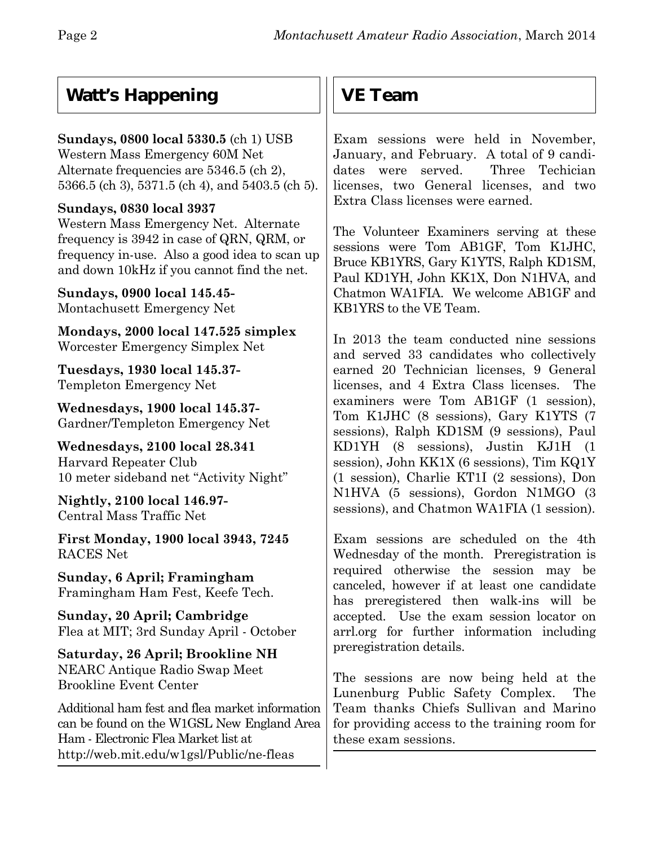## **Watt's Happening**

#### **Sundays, 0800 local 5330.5** (ch 1) USB

Western Mass Emergency 60M Net Alternate frequencies are 5346.5 (ch 2), 5366.5 (ch 3), 5371.5 (ch 4), and 5403.5 (ch 5).

#### **Sundays, 0830 local 3937**

Western Mass Emergency Net. Alternate frequency is 3942 in case of QRN, QRM, or frequency in-use. Also a good idea to scan up and down 10kHz if you cannot find the net.

**Sundays, 0900 local 145.45-** Montachusett Emergency Net

**Mondays, 2000 local 147.525 simplex** Worcester Emergency Simplex Net

**Tuesdays, 1930 local 145.37-** Templeton Emergency Net

**Wednesdays, 1900 local 145.37-** Gardner/Templeton Emergency Net

**Wednesdays, 2100 local 28.341** Harvard Repeater Club 10 meter sideband net "Activity Night"

**Nightly, 2100 local 146.97-** Central Mass Traffic Net

**First Monday, 1900 local 3943, 7245** RACES Net

**Sunday, 6 April; Framingham** Framingham Ham Fest, Keefe Tech.

**Sunday, 20 April; Cambridge** Flea at MIT; 3rd Sunday April - October

**Saturday, 26 April; Brookline NH** NEARC Antique Radio Swap Meet Brookline Event Center

Additional ham fest and flea market information can be found on the W1GSL New England Area Ham - Electronic Flea Market list at http://web.mit.edu/w1gsl/Public/ne-fleas

## **VE Team**

Exam sessions were held in November, January, and February.A total of 9 candidates were served. Three Techician licenses, two General licenses, and two Extra Class licenses were earned.

The Volunteer Examiners serving at these sessions were Tom AB1GF, Tom K1JHC, Bruce KB1YRS, Gary K1YTS, Ralph KD1SM, Paul KD1YH, John KK1X, Don N1HVA, and Chatmon WA1FIA.We welcome AB1GF and KB1YRS to the VE Team.

In 2013 the team conducted nine sessions and served 33 candidates who collectively earned 20 Technician licenses, 9 General licenses, and 4 Extra Class licenses. The examiners were Tom AB1GF (1 session), Tom K1JHC (8 sessions), Gary K1YTS (7 sessions), Ralph KD1SM (9 sessions), Paul KD1YH (8 sessions), Justin KJ1H (1 session), John KK1X (6 sessions), Tim KQ1Y (1 session), Charlie KT1I (2 sessions), Don N1HVA (5 sessions), Gordon N1MGO (3 sessions), and Chatmon WA1FIA (1 session).

Exam sessions are scheduled on the 4th Wednesday of the month. Preregistration is required otherwise the session may be canceled, however if at least one candidate has preregistered then walk-ins will be accepted. Use the exam session locator on arrl.org for further information including preregistration details.

The sessions are now being held at the Lunenburg Public Safety Complex. The Team thanks Chiefs Sullivan and Marino for providing access to the training room for these exam sessions.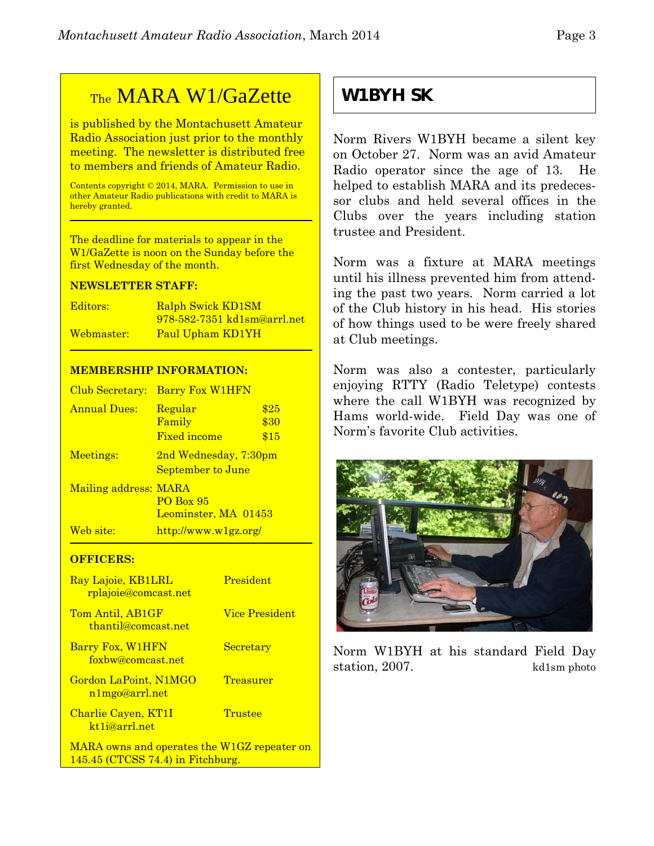## TheMARA W1/GaZette

is published by the Montachusett Amateur Radio Association just prior to the monthly meeting. The newsletter is distributed free to members and friends of Amateur Radio.

Contents copyright © 2014, MARA. Permission to use in other Amateur Radio publications with credit to MARA is hereby granted.

The deadline for materials to appear in the W1/GaZette is noon on the Sunday before the first Wednesday of the month.

#### **NEWSLETTER STAFF:**

| Editors:   | <b>Ralph Swick KD1SM</b>    |
|------------|-----------------------------|
|            | 978-582-7351 kd1sm@arrl.net |
| Webmaster: | Paul Upham KD1YH            |

#### **MEMBERSHIP INFORMATION:**

| Club Secretary:       | <b>Barry Fox W1HFN</b>                     |                      |
|-----------------------|--------------------------------------------|----------------------|
| <b>Annual Dues:</b>   | Regular<br>Family<br><b>Fixed income</b>   | \$25<br>\$30<br>\$15 |
| Meetings:             | 2nd Wednesday, 7:30pm<br>September to June |                      |
| Mailing address: MARA | <b>PO Box 95</b><br>Leominster, MA 01453   |                      |
| Web site:             | http://www.w1gz.org/                       |                      |

#### **OFFICERS:**

| Ray Lajoie, KB1LRL<br><u>rplajoie@comcast.net</u> | President             |
|---------------------------------------------------|-----------------------|
| Tom Antil, AB1GF<br>thantil@comcast.net           | <b>Vice President</b> |
| Barry Fox, W1HFN<br>foxbw@comcast.net             | Secretary             |
| Gordon LaPoint, N1MGO<br>n1mgo@arrl.net           | Treasurer             |
| Charlie Cayen, KT1I<br>kt <sub>1</sub> i@arrl.net | Trustee               |
| MARA owns and operates the W1GZ repeater on       |                       |

145.45 (CTCSS 74.4) in Fitchburg.

**W1BYH SK**

Norm Rivers W1BYH became a silent key on October 27. Norm was an avid Amateur Radio operator since the age of 13. He helped to establish MARA and its predecessor clubs and held several offices in the Clubs over the years including station trustee and President.

Norm was a fixture at MARA meetings until his illness prevented him from attending the past two years. Norm carried a lot of the Club history in his head. His stories of how things used to be were freely shared at Club meetings.

Norm was also a contester, particularly enjoying RTTY (Radio Teletype) contests where the call W1BYH was recognized by Hams world-wide. Field Day was one of Norm's favorite Club activities.



Norm W1BYH at his standard Field Day station, 2007. kd1sm photo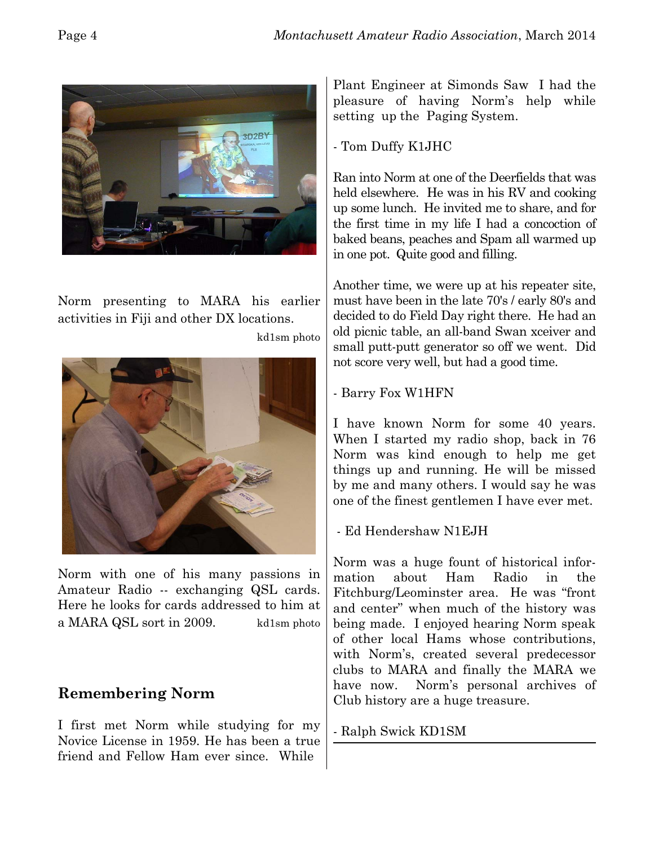

Norm presenting to MARA his earlier activities in Fiji and other DX locations.

kd1sm photo



Norm with one of his many passions in Amateur Radio -- exchanging QSL cards. Here he looks for cards addressed to him at a MARA QSL sort in 2009. kd1sm photo

#### **Remembering Norm**

I first met Norm while studying for my Novice License in 1959. He has been a true friend and Fellow Ham ever since. While

Plant Engineer at Simonds Saw I had the pleasure of having Norm's help while setting up the Paging System.

- Tom Duffy K1JHC

Ran into Norm at one of the Deerfields that was held elsewhere. He was in his RV and cooking up some lunch. He invited me to share, and for the first time in my life I had a concoction of baked beans, peaches and Spam all warmed up in one pot. Quite good and filling.

Another time, we were up at his repeater site, must have been in the late 70's / early 80's and decided to do Field Day right there. He had an old picnic table, an all-band Swan xceiver and small putt-putt generator so off we went. Did not score very well, but had a good time.

- Barry Fox W1HFN

I have known Norm for some 40 years. When I started my radio shop, back in 76 Norm was kind enough to help me get things up and running. He will be missed by me and many others. I would say he was one of the finest gentlemen I have ever met.

- Ed Hendershaw N1EJH

Norm was a huge fount of historical information about Ham Radio in the Fitchburg/Leominster area. He was "front and center" when much of the history was being made. I enjoyed hearing Norm speak of other local Hams whose contributions, with Norm's, created several predecessor clubs to MARA and finally the MARA we have now. Norm's personal archives of Club history are a huge treasure.

- Ralph Swick KD1SM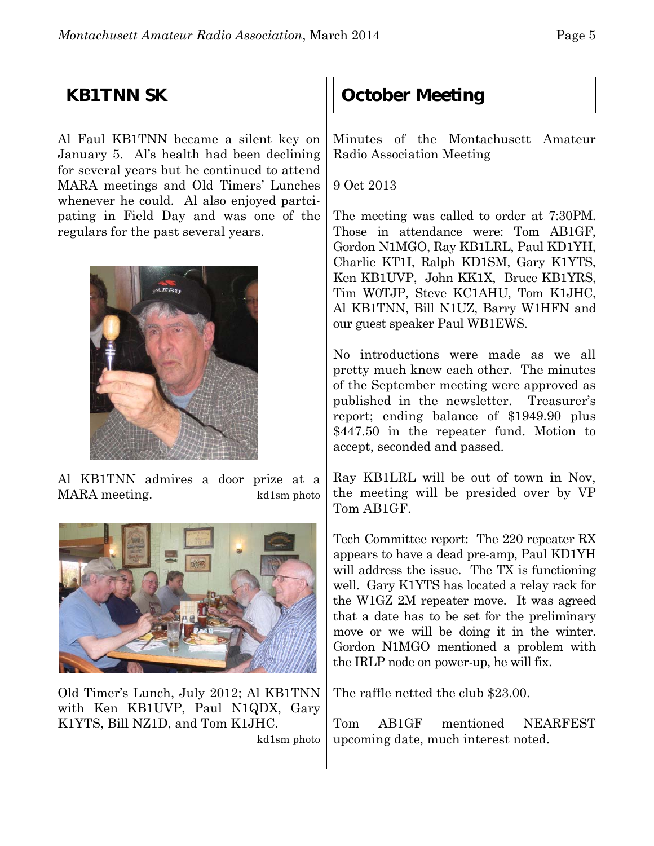## **KB1TNN SK**

Al Faul KB1TNN became a silent key on January 5. Al's health had been declining for several years but he continued to attend MARA meetings and Old Timers' Lunches whenever he could.Al also enjoyed partcipating in Field Day and was one of the regulars for the past several years.



Al KB1TNN admires a door prize at a MARA meeting. kd1sm photo



Old Timer's Lunch, July 2012; Al KB1TNN with Ken KB1UVP, Paul N1QDX, Gary K1YTS, Bill NZ1D, and Tom K1JHC.

kd1sm photo

## **October Meeting**

Minutes of the Montachusett Amateur Radio Association Meeting

9 Oct 2013

The meeting was called to order at 7:30PM. Those in attendance were: Tom AB1GF, Gordon N1MGO, Ray KB1LRL, Paul KD1YH, Charlie KT1I, Ralph KD1SM, Gary K1YTS, Ken KB1UVP, John KK1X, Bruce KB1YRS, Tim W0TJP, Steve KC1AHU, Tom K1JHC, Al KB1TNN, Bill N1UZ, Barry W1HFN and our guest speaker Paul WB1EWS.

No introductions were made as we all pretty much knew each other. The minutes of the September meeting were approved as published in the newsletter. Treasurer's report; ending balance of \$1949.90 plus \$447.50 in the repeater fund. Motion to accept, seconded and passed.

Ray KB1LRL will be out of town in Nov, the meeting will be presided over by VP Tom AB1GF.

Tech Committee report: The 220 repeater RX appears to have a dead pre-amp, Paul KD1YH will address the issue. The TX is functioning well. Gary K1YTS has located a relay rack for the W1GZ 2M repeater move. It was agreed that a date has to be set for the preliminary move or we will be doing it in the winter. Gordon N1MGO mentioned a problem with the IRLP node on power-up, he will fix.

The raffle netted the club \$23.00.

Tom AB1GF mentioned NEARFEST upcoming date, much interest noted.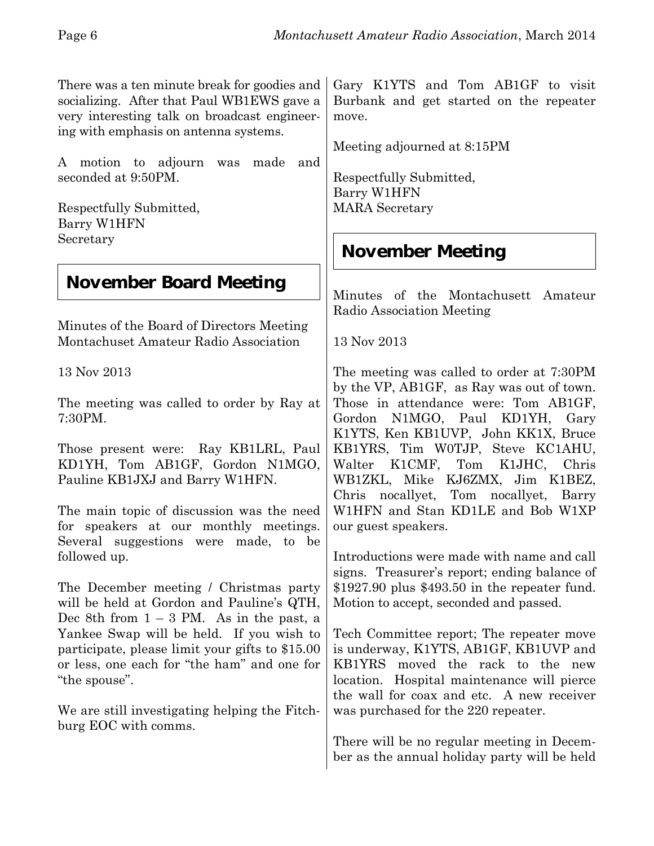There was a ten minute break for goodies and socializing. After that Paul WB1EWS gave a very interesting talk on broadcast engineering with emphasis on antenna systems.

A motion to adjourn was made and seconded at 9:50PM.

Respectfully Submitted, Barry W1HFN Secretary

## **November Board Meeting**

Minutes of the Board of Directors Meeting Montachuset Amateur Radio Association

13 Nov 2013

The meeting was called to order by Ray at 7:30PM.

Those present were: Ray KB1LRL, Paul KD1YH, Tom AB1GF, Gordon N1MGO, Pauline KB1JXJ and Barry W1HFN.

The main topic of discussion was the need for speakers at our monthly meetings. Several suggestions were made, to be followed up.

The December meeting / Christmas party will be held at Gordon and Pauline's QTH, Dec 8th from  $1 - 3$  PM. As in the past, a Yankee Swap will be held. If you wish to participate, please limit your gifts to \$15.00 or less, one each for "the ham" and one for "the spouse".

We are still investigating helping the Fitchburg EOC with comms.

Gary K1YTS and Tom AB1GF to visit Burbank and get started on the repeater move.

Meeting adjourned at 8:15PM

Respectfully Submitted, Barry W1HFN MARA Secretary

## **November Meeting**

Minutes of the Montachusett Amateur Radio Association Meeting

13 Nov 2013

The meeting was called to order at 7:30PM by the VP, AB1GF, as Ray was out of town. Those in attendance were: Tom AB1GF, Gordon N1MGO, Paul KD1YH, Gary K1YTS, Ken KB1UVP, John KK1X, Bruce KB1YRS, Tim W0TJP, Steve KC1AHU, Walter K1CMF, Tom K1JHC, Chris WB1ZKL, Mike KJ6ZMX, Jim K1BEZ, Chris nocallyet, Tom nocallyet, Barry W1HFN and Stan KD1LE and Bob W1XP our guest speakers.

Introductions were made with name and call signs. Treasurer's report; ending balance of \$1927.90 plus \$493.50 in the repeater fund. Motion to accept, seconded and passed.

Tech Committee report; The repeater move is underway, K1YTS, AB1GF, KB1UVP and KB1YRS moved the rack to the new location. Hospital maintenance will pierce the wall for coax and etc. A new receiver was purchased for the 220 repeater.

There will be no regular meeting in December as the annual holiday party will be held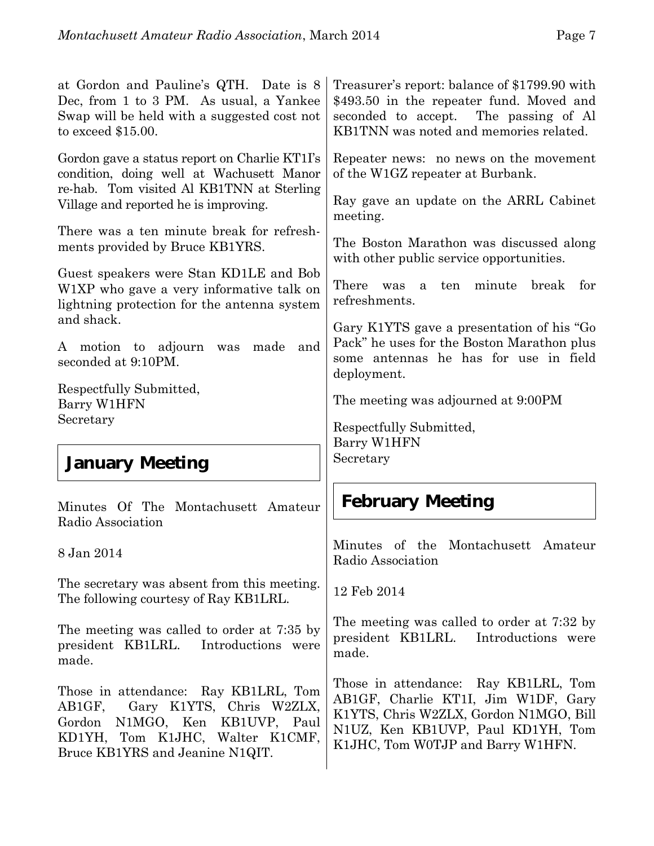| at Gordon and Pauline's QTH. Date is 8<br>Dec, from 1 to 3 PM. As usual, a Yankee<br>Swap will be held with a suggested cost not<br>to exceed $$15.00.$                         | Treasurer's report: balance of \$1799.90 with<br>\$493.50 in the repeater fund. Moved and<br>seconded to accept. The passing of Al<br>KB1TNN was noted and memories related. |
|---------------------------------------------------------------------------------------------------------------------------------------------------------------------------------|------------------------------------------------------------------------------------------------------------------------------------------------------------------------------|
| Gordon gave a status report on Charlie KT1I's<br>condition, doing well at Wachusett Manor<br>re-hab. Tom visited Al KB1TNN at Sterling<br>Village and reported he is improving. | Repeater news: no news on the movement<br>of the W1GZ repeater at Burbank.<br>Ray gave an update on the ARRL Cabinet                                                         |
| There was a ten minute break for refresh-<br>ments provided by Bruce KB1YRS.                                                                                                    | meeting.<br>The Boston Marathon was discussed along<br>with other public service opportunities.                                                                              |
| Guest speakers were Stan KD1LE and Bob<br>W1XP who gave a very informative talk on<br>lightning protection for the antenna system<br>and shack.                                 | There<br>minute<br>break<br>ten<br>for<br>was<br>a<br>refreshments.                                                                                                          |
| A motion to adjourn<br>made<br>and<br>was<br>seconded at 9:10PM.                                                                                                                | Gary K1YTS gave a presentation of his "Go<br>Pack" he uses for the Boston Marathon plus<br>some antennas he has for use in field<br>deployment.                              |
| Respectfully Submitted,<br>Barry W1HFN<br>Secretary                                                                                                                             | The meeting was adjourned at 9:00PM                                                                                                                                          |
|                                                                                                                                                                                 |                                                                                                                                                                              |
| <b>January Meeting</b>                                                                                                                                                          | Respectfully Submitted,<br>Barry W1HFN<br>Secretary                                                                                                                          |
| Minutes Of The Montachusett Amateur<br>Radio Association                                                                                                                        | <b>February Meeting</b>                                                                                                                                                      |
| 8 Jan 2014                                                                                                                                                                      | Minutes of the Montachusett Amateur<br>Radio Association                                                                                                                     |
| The secretary was absent from this meeting.<br>The following courtesy of Ray KB1LRL.                                                                                            | 12 Feb 2014                                                                                                                                                                  |
| The meeting was called to order at 7:35 by<br>president KB1LRL.<br>Introductions were<br>made.                                                                                  | The meeting was called to order at 7:32 by<br>president KB1LRL. Introductions were<br>made.                                                                                  |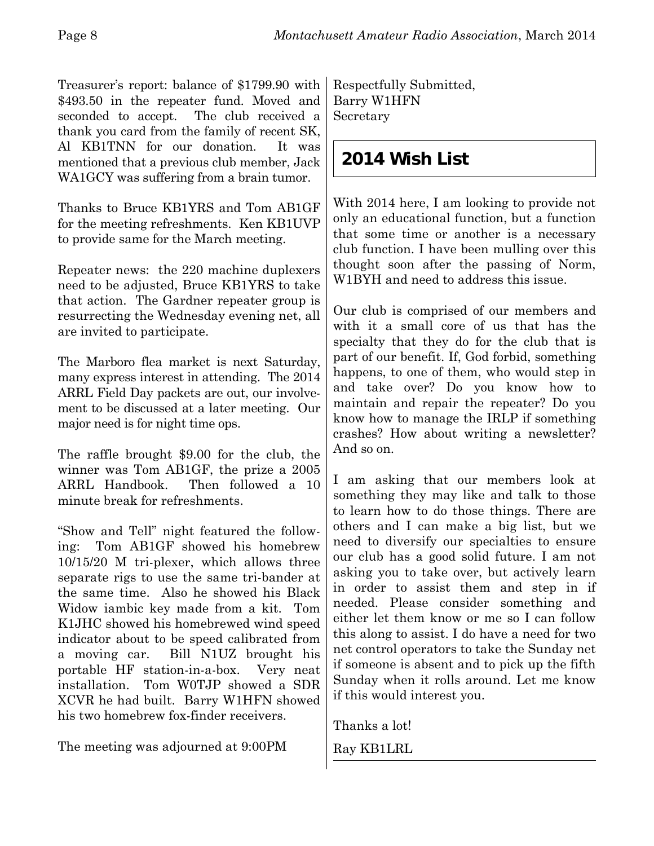Treasurer's report: balance of \$1799.90 with \$493.50 in the repeater fund. Moved and seconded to accept. The club received a thank you card from the family of recent SK, Al KB1TNN for our donation. It was mentioned that a previous club member, Jack WA1GCY was suffering from a brain tumor.

Thanks to Bruce KB1YRS and Tom AB1GF for the meeting refreshments. Ken KB1UVP to provide same for the March meeting.

Repeater news: the 220 machine duplexers need to be adjusted, Bruce KB1YRS to take that action. The Gardner repeater group is resurrecting the Wednesday evening net, all are invited to participate.

The Marboro flea market is next Saturday, many express interest in attending. The 2014 ARRL Field Day packets are out, our involvement to be discussed at a later meeting. Our major need is for night time ops.

The raffle brought \$9.00 for the club, the winner was Tom AB1GF, the prize a 2005 ARRL Handbook. Then followed a 10 minute break for refreshments.

"Show and Tell" night featured the following: Tom AB1GF showed his homebrew 10/15/20 M tri-plexer, which allows three separate rigs to use the same tri-bander at the same time. Also he showed his Black Widow iambic key made from a kit. Tom K1JHC showed his homebrewed wind speed indicator about to be speed calibrated from a moving car. Bill N1UZ brought his portable HF station-in-a-box. Very neat installation. Tom W0TJP showed a SDR XCVR he had built. Barry W1HFN showed his two homebrew fox-finder receivers.

The meeting was adjourned at 9:00PM

Respectfully Submitted, Barry W1HFN Secretary

## **2014 Wish List**

With 2014 here, I am looking to provide not only an educational function, but a function that some time or another is a necessary club function. I have been mulling over this thought soon after the passing of Norm, W1BYH and need to address this issue.

Our club is comprised of our members and with it a small core of us that has the specialty that they do for the club that is part of our benefit. If, God forbid, something happens, to one of them, who would step in and take over? Do you know how to maintain and repair the repeater? Do you know how to manage the IRLP if something crashes? How about writing a newsletter? And so on.

I am asking that our members look at something they may like and talk to those to learn how to do those things. There are others and I can make a big list, but we need to diversify our specialties to ensure our club has a good solid future. I am not asking you to take over, but actively learn in order to assist them and step in if needed. Please consider something and either let them know or me so I can follow this along to assist. I do have a need for two net control operators to take the Sunday net if someone is absent and to pick up the fifth Sunday when it rolls around. Let me know if this would interest you.

Thanks a lot!

Ray KB1LRL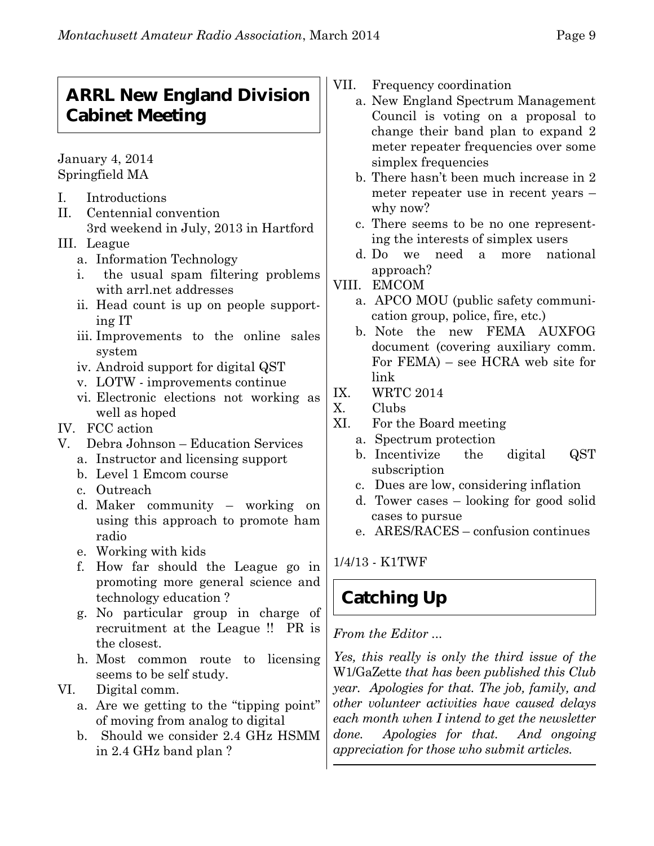## **ARRL New England Division Cabinet Meeting**

January 4, 2014 Springfield MA

- I. Introductions
- II. Centennial convention
- 3rd weekend in July, 2013 in Hartford III. League
	- a. Information Technology
	- i. the usual spam filtering problems with arrl.net addresses
	- ii. Head count is up on people supporting IT
	- iii. Improvements to the online sales system
	- iv. Android support for digital QST
	- v. LOTW improvements continue
	- vi. Electronic elections not working as well as hoped
- IV. FCC action
- V. Debra Johnson Education Services
	- a. Instructor and licensing support
	- b. Level 1 Emcom course
	- c. Outreach
	- d. Maker community working on using this approach to promote ham radio
	- e. Working with kids
	- f. How far should the League go in promoting more general science and technology education ?
	- g. No particular group in charge of recruitment at the League !! PR is the closest.
	- h. Most common route to licensing seems to be self study.
- VI. Digital comm.
	- a. Are we getting to the "tipping point" of moving from analog to digital
	- b. Should we consider 2.4 GHz HSMM in 2.4 GHz band plan ?
- VII. Frequency coordination
	- a. New England Spectrum Management Council is voting on a proposal to change their band plan to expand 2 meter repeater frequencies over some simplex frequencies
	- b. There hasn't been much increase in 2 meter repeater use in recent years – why now?
	- c. There seems to be no one representing the interests of simplex users
	- d. Do we need a more national approach?
- VIII. EMCOM
	- a. APCO MOU (public safety communication group, police, fire, etc.)
	- b. Note the new FEMA AUXFOG document (covering auxiliary comm. For FEMA) – see HCRA web site for link
- IX. WRTC 2014
- X. Clubs
- XI. For the Board meeting
	- a. Spectrum protection
	- b. Incentivize the digital QST subscription
	- c. Dues are low, considering inflation
	- d. Tower cases looking for good solid cases to pursue
	- e. ARES/RACES confusion continues

1/4/13 - K1TWF

# **Catching Up**

*From the Editor ...*

*Yes, this really is only the third issue of the* W1/GaZette *that has been published this Club year. Apologies for that. The job, family, and other volunteer activities have caused delays each month when I intend to get the newsletter done. Apologies for that. And ongoing appreciation for those who submit articles.*